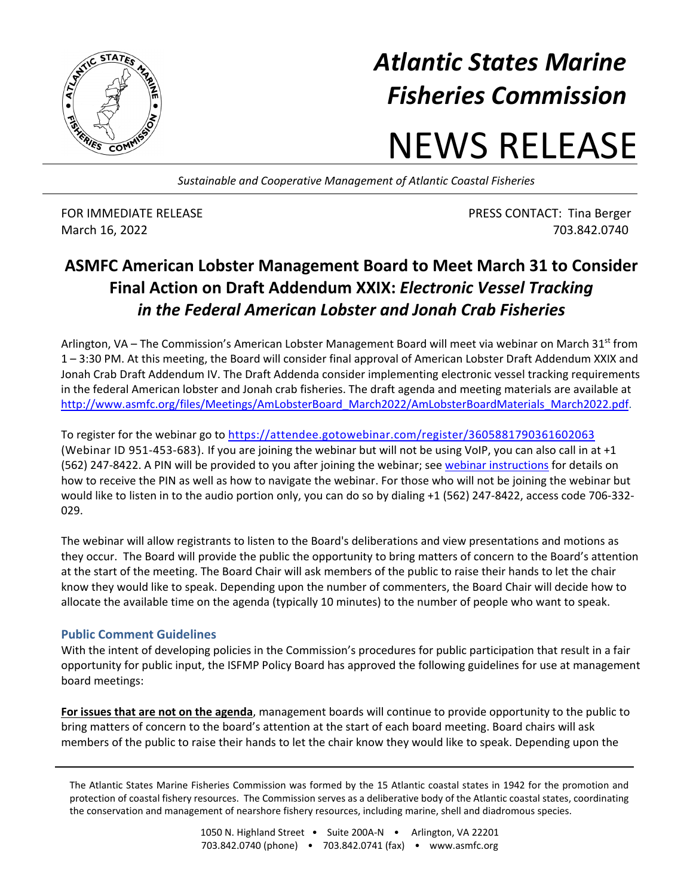

## *Atlantic States Marine Fisheries Commission*

## NEWS RELEASE

*Sustainable and Cooperative Management of Atlantic Coastal Fisheries*

FOR IMMEDIATE RELEASE **FOR IMMEDIATE RELEASE PRESS CONTACT:** Tina Berger March 16, 2022 703.842.0740

## **ASMFC American Lobster Management Board to Meet March 31 to Consider Final Action on Draft Addendum XXIX:** *Electronic Vessel Tracking in the Federal American Lobster and Jonah Crab Fisheries*

Arlington, VA – The Commission's American Lobster Management Board will meet via webinar on March 31<sup>st</sup> from 1 – 3:30 PM. At this meeting, the Board will consider final approval of American Lobster Draft Addendum XXIX and Jonah Crab Draft Addendum IV. The Draft Addenda consider implementing electronic vessel tracking requirements in the federal American lobster and Jonah crab fisheries. The draft agenda and meeting materials are available at [http://www.asmfc.org/files/Meetings/AmLobsterBoard\\_March2022/AmLobsterBoardMaterials\\_March2022.pdf.](http://www.asmfc.org/files/Meetings/AmLobsterBoard_March2022/AmLobsterBoardMaterials_March2022.pdf)

To register for the webinar go to<https://attendee.gotowebinar.com/register/3605881790361602063> (Webinar ID 951-453-683). If you are joining the webinar but will not be using VoIP, you can also call in at +1 (562) 247-8422. A PIN will be provided to you after joining the webinar; see [webinar instructions](http://www.asmfc.org/files/Meetings/AmLobsterBoard_March2022/Webinar_Instructions_AmLobsterBoardMarch22.pdf) for details on how to receive the PIN as well as how to navigate the webinar. For those who will not be joining the webinar but would like to listen in to the audio portion only, you can do so by dialing +1 (562) 247-8422, access code 706-332- 029.

The webinar will allow registrants to listen to the Board's deliberations and view presentations and motions as they occur. The Board will provide the public the opportunity to bring matters of concern to the Board's attention at the start of the meeting. The Board Chair will ask members of the public to raise their hands to let the chair know they would like to speak. Depending upon the number of commenters, the Board Chair will decide how to allocate the available time on the agenda (typically 10 minutes) to the number of people who want to speak.

## **Public Comment Guidelines**

With the intent of developing policies in the Commission's procedures for public participation that result in a fair opportunity for public input, the ISFMP Policy Board has approved the following guidelines for use at management board meetings:

**For issues that are not on the agenda**, management boards will continue to provide opportunity to the public to bring matters of concern to the board's attention at the start of each board meeting. Board chairs will ask members of the public to raise their hands to let the chair know they would like to speak. Depending upon the

The Atlantic States Marine Fisheries Commission was formed by the 15 Atlantic coastal states in 1942 for the promotion and protection of coastal fishery resources. The Commission serves as a deliberative body of the Atlantic coastal states, coordinating the conservation and management of nearshore fishery resources, including marine, shell and diadromous species.

> 1050 N. Highland Street . Suite 200A-N . Arlington, VA 22201 703.842.0740 (phone) • 703.842.0741 (fax) • www.asmfc.org